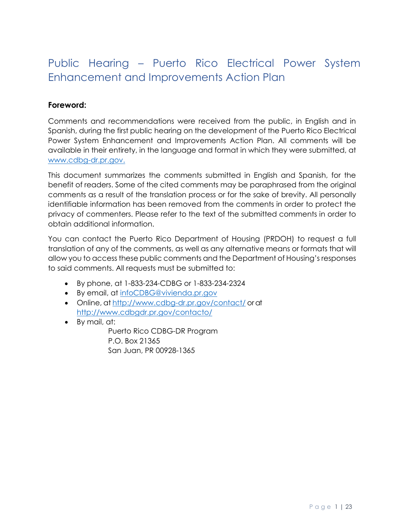# <span id="page-0-0"></span>Public Hearing – Puerto Rico Electrical Power System Enhancement and Improvements Action Plan

# <span id="page-0-1"></span>**Foreword:**

Comments and recommendations were received from the public, in English and in Spanish, during the first public hearing on the development of the Puerto Rico Electrical Power System Enhancement and Improvements Action Plan. All comments will be available in their entirety, in the language and format in which they were submitted, at www.cdbg-dr.pr.gov.

This document summarizes the comments submitted in English and Spanish, for the benefit of readers. Some of the cited comments may be paraphrased from the original comments as a result of the translation process or for the sake of brevity. All personally identifiable information has been removed from the comments in order to protect the privacy of commenters. Please refer to the text of the submitted comments in order to obtain additional information.

You can contact the Puerto Rico Department of Housing (PRDOH) to request a full translation of any of the comments, as well as any alternative means or formats that will allow you to access these public comments and the Department of Housing's responses to said comments. All requests must be submitted to:

- By phone, at 1-833-234-CDBG or 1-833-234-2324
- By email, at [infoCDBG@vivienda.pr.gov](mailto:infoCDBG@vivienda.pr.gov)
- Online, at <http://www.cdbg-dr.pr.gov/contact/> orat <http://www.cdbgdr.pr.gov/contacto/>
- By mail, at:

Puerto Rico CDBG-DR Program P.O. Box 21365 San Juan, PR 00928-1365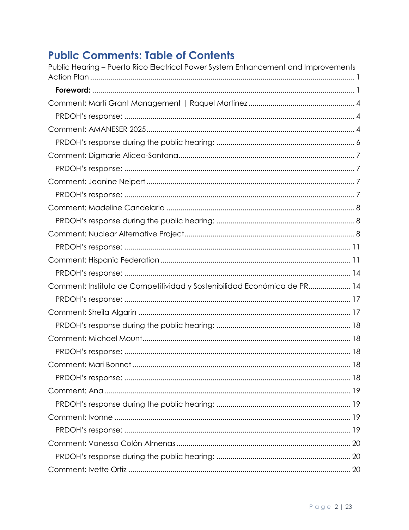# **Public Comments: Table of Contents**

| Public Hearing – Puerto Rico Electrical Power System Enhancement and Improvements |  |
|-----------------------------------------------------------------------------------|--|
|                                                                                   |  |
|                                                                                   |  |
|                                                                                   |  |
|                                                                                   |  |
|                                                                                   |  |
|                                                                                   |  |
|                                                                                   |  |
|                                                                                   |  |
|                                                                                   |  |
|                                                                                   |  |
|                                                                                   |  |
|                                                                                   |  |
|                                                                                   |  |
|                                                                                   |  |
|                                                                                   |  |
|                                                                                   |  |
| Comment: Instituto de Competitividad y Sostenibilidad Económica de PR 14          |  |
|                                                                                   |  |
|                                                                                   |  |
|                                                                                   |  |
|                                                                                   |  |
|                                                                                   |  |
|                                                                                   |  |
|                                                                                   |  |
|                                                                                   |  |
|                                                                                   |  |
|                                                                                   |  |
|                                                                                   |  |
|                                                                                   |  |
|                                                                                   |  |
|                                                                                   |  |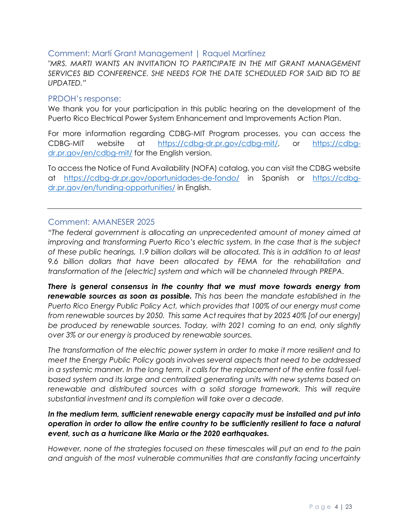## <span id="page-3-0"></span>Comment: Martí Grant Management | Raquel Martínez

*"MRS. MARTI WANTS AN INVITATION TO PARTICIPATE IN THE MIT GRANT MANAGEMENT SERVICES BID CONFERENCE. SHE NEEDS FOR THE DATE SCHEDULED FOR SAID BID TO BE UPDATED."*

#### <span id="page-3-1"></span>PRDOH's response:

We thank you for your participation in this public hearing on the development of the Puerto Rico Electrical Power System Enhancement and Improvements Action Plan.

For more information regarding CDBG-MIT Program processes, you can access the CDBG-MIT website at [https://cdbg-dr.pr.gov/cdbg-mit/,](https://cdbg-dr.pr.gov/cdbg-mit/) or [https://cdbg](https://cdbg-dr.pr.gov/en/cdbg-mit/)[dr.pr.gov/en/cdbg-mit/](https://cdbg-dr.pr.gov/en/cdbg-mit/) for the English version.

To access the Notice of Fund Availability (NOFA) catalog, you can visit the CDBG website at <https://cdbg-dr.pr.gov/oportunidades-de-fondo/> in Spanish or [https://cdbg](https://cdbg-dr.pr.gov/en/funding-opportunities/)[dr.pr.gov/en/funding-opportunities/](https://cdbg-dr.pr.gov/en/funding-opportunities/) in English.

## <span id="page-3-2"></span>Comment: AMANESER 2025

*"The federal government is allocating an unprecedented amount of money aimed at improving and transforming Puerto Rico's electric system. In the case that is the subject of these public hearings, 1.9 billion dollars will be allocated. This is in addition to at least 9.6 billion dollars that have been allocated by FEMA for the rehabilitation and transformation of the [electric] system and which will be channeled through PREPA.* 

*There is general consensus in the country that we must move towards energy from renewable sources as soon as possible. This has been the mandate established in the Puerto Rico Energy Public Policy Act, which provides that 100% of our energy must come from renewable sources by 2050. This same Act requires that by 2025 40% [of our energy] be produced by renewable sources. Today, with 2021 coming to an end, only slightly over 3% or our energy is produced by renewable sources.*

*The transformation of the electric power system in order to make it more resilient and to meet the Energy Public Policy goals involves several aspects that need to be addressed in a systemic manner. In the long term, it calls for the replacement of the entire fossil fuelbased system and its large and centralized generating units with new systems based on*  renewable and distributed sources with a solid storage framework. This will require *substantial investment and its completion will take over a decade.* 

## *In the medium term, sufficient renewable energy capacity must be installed and put into operation in order to allow the entire country to be sufficiently resilient to face a natural event, such as a hurricane like Maria or the 2020 earthquakes.*

*However, none of the strategies focused on these timescales will put an end to the pain and anguish of the most vulnerable communities that are constantly facing uncertainty*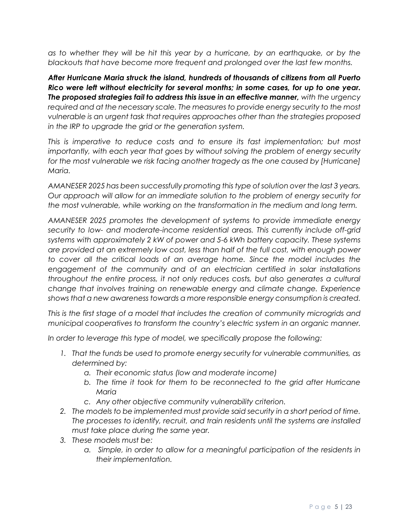*as to whether they will be hit this year by a hurricane, by an earthquake, or by the blackouts that have become more frequent and prolonged over the last few months.* 

*After Hurricane Maria struck the island, hundreds of thousands of citizens from all Puerto Rico were left without electricity for several months; in some cases, for up to one year. The proposed strategies fail to address this issue in an effective manner, with the urgency required and at the necessary scale. The measures to provide energy security to the most vulnerable is an urgent task that requires approaches other than the strategies proposed in the IRP to upgrade the grid or the generation system.* 

*This is imperative to reduce costs and to ensure its fast implementation; but most importantly, with each year that goes by without solving the problem of energy security for the most vulnerable we risk facing another tragedy as the one caused by [Hurricane] Maria.*

*AMANESER 2025 has been successfully promoting this type of solution over the last 3 years. Our approach will allow for an immediate solution to the problem of energy security for the most vulnerable, while working on the transformation in the medium and long term.* 

*AMANESER 2025 promotes the development of systems to provide immediate energy security to low- and moderate-income residential areas. This currently include off-grid systems with approximately 2 kW of power and 5-6 kWh battery capacity. These systems are provided at an extremely low cost, less than half of the full cost, with enough power to cover all the critical loads of an average home. Since the model includes the engagement of the community and of an electrician certified in solar installations throughout the entire process, it not only reduces costs, but also generates a cultural change that involves training on renewable energy and climate change. Experience shows that a new awareness towards a more responsible energy consumption is created.* 

*This is the first stage of a model that includes the creation of community microgrids and municipal cooperatives to transform the country's electric system in an organic manner.* 

*In order to leverage this type of model, we specifically propose the following:* 

- *1. That the funds be used to promote energy security for vulnerable communities, as determined by:*
	- *a. Their economic status (low and moderate income)*
	- *b. The time it took for them to be reconnected to the grid after Hurricane Maria*
	- *c. Any other objective community vulnerability criterion.*
- *2. The models to be implemented must provide said security in a short period of time. The processes to identify, recruit, and train residents until the systems are installed must take place during the same year.*
- *3. These models must be:*
	- *a. Simple, in order to allow for a meaningful participation of the residents in their implementation.*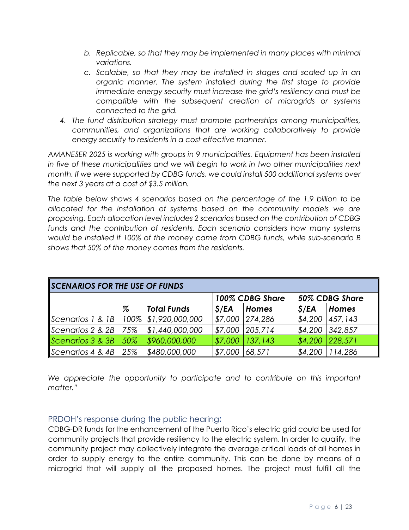- *b. Replicable, so that they may be implemented in many places with minimal variations.*
- *c. Scalable, so that they may be installed in stages and scaled up in an organic manner. The system installed during the first stage to provide immediate energy security must increase the grid's resiliency and must be compatible with the subsequent creation of microgrids or systems connected to the grid.*
- *4. The fund distribution strategy must promote partnerships among municipalities, communities, and organizations that are working collaboratively to provide energy security to residents in a cost-effective manner.*

*AMANESER 2025 is working with groups in 9 municipalities. Equipment has been installed in five of these municipalities and we will begin to work in two other municipalities next month. If we were supported by CDBG funds, we could install 500 additional systems over the next 3 years at a cost of \$3.5 million.*

*The table below shows 4 scenarios based on the percentage of the 1.9 billion to be allocated for the installation of systems based on the community models we are proposing. Each allocation level includes 2 scenarios based on the contribution of CDBG funds and the contribution of residents. Each scenario considers how many systems would be installed if 100% of the money came from CDBG funds, while sub-scenario B shows that 50% of the money comes from the residents.* 

| SCENARIOS FOR THE USE OF FUNDS |      |                      |                 |                   |                |              |  |  |
|--------------------------------|------|----------------------|-----------------|-------------------|----------------|--------------|--|--|
|                                |      |                      | 100% CDBG Share |                   | 50% CDBG Share |              |  |  |
|                                | $\%$ | <b>Total Funds</b>   | S/EA            | <b>Homes</b>      | S/EA           | <b>Homes</b> |  |  |
| Scenarios 1 & 1B               |      | 100% \$1,920,000,000 | \$7,000         | 274,286           | \$4,200        | 457,143      |  |  |
| $\sf{Scenarios 2 & 2B}$        | 75%  | \$1,440,000,000      | \$7,000         | 205,714           | \$4,200        | 342,857      |  |  |
| Scenarios 3 & 3B               | 50%  | \$960,000,000        | \$7,000         | $ 137,143\rangle$ | \$4,200        | 228,571      |  |  |
| $\sf \$ Scenarios 4 & 4B       | 25%  | \$480,000,000        | \$7,000         | 68,571            | \$4,200        | 114,286      |  |  |

*We appreciate the opportunity to participate and to contribute on this important matter."*

## <span id="page-5-0"></span>PRDOH's response during the public hearing**:**

CDBG-DR funds for the enhancement of the Puerto Rico's electric grid could be used for community projects that provide resiliency to the electric system. In order to qualify, the community project may collectively integrate the average critical loads of all homes in order to supply energy to the entire community. This can be done by means of a microgrid that will supply all the proposed homes. The project must fulfill all the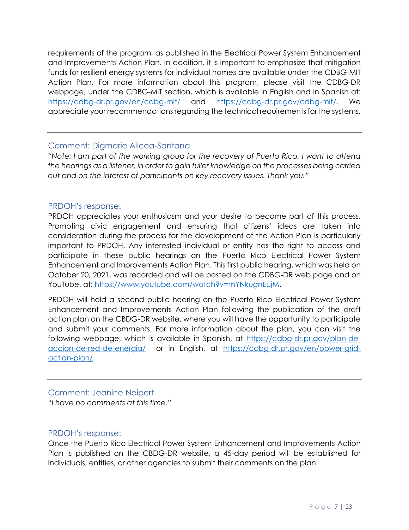requirements of the program, as published in the Electrical Power System Enhancement and Improvements Action Plan. In addition, it is important to emphasize that mitigation funds for resilient energy systems for individual homes are available under the CDBG-MIT Action Plan. For more information about this program, please visit the CDBG-DR webpage, under the CDBG-MIT section, which is available in English and in Spanish at: <https://cdbg-dr.pr.gov/en/cdbg-mit/> and [https://cdbg-dr.pr.gov/cdbg-mit/.](https://cdbg-dr.pr.gov/cdbg-mit/) We appreciate your recommendations regarding the technical requirements for the systems.

## <span id="page-6-0"></span>Comment: Digmarie Alicea-Santana

*"Note: I am part of the working group for the recovery of Puerto Rico. I want to attend the hearings as a listener, in order to gain fuller knowledge on the processes being carried out and on the interest of participants on key recovery issues. Thank you."*

## <span id="page-6-1"></span>PRDOH's response:

PRDOH appreciates your enthusiasm and your desire to become part of this process. Promoting civic engagement and ensuring that citizens' ideas are taken into consideration during the process for the development of the Action Plan is particularly important to PRDOH. Any interested individual or entity has the right to access and participate in these public hearings on the Puerto Rico Electrical Power System Enhancement and Improvements Action Plan. This first public hearing, which was held on October 20, 2021, was recorded and will be posted on the CDBG-DR web page and on YouTube, at: [https://www.youtube.com/watch?v=mYNkugnEujM.](https://www.youtube.com/watch?v=mYNkugnEujM)

PRDOH will hold a second public hearing on the Puerto Rico Electrical Power System Enhancement and Improvements Action Plan following the publication of the draft action plan on the CBDG-DR website, where you will have the opportunity to participate and submit your comments. For more information about the plan, you can visit the following webpage, which is available in Spanish, at [https://cdbg-dr.pr.gov/plan-de](https://cdbg-dr.pr.gov/plan-de-accion-de-red-de-energia/)[accion-de-red-de-energia/](https://cdbg-dr.pr.gov/plan-de-accion-de-red-de-energia/) or in English, at [https://cdbg-dr.pr.gov/en/power-grid](https://cdbg-dr.pr.gov/en/power-grid-action-plan/)[action-plan/.](https://cdbg-dr.pr.gov/en/power-grid-action-plan/)

## <span id="page-6-2"></span>Comment: Jeanine Neipert

*"I have no comments at this time."*

## <span id="page-6-3"></span>PRDOH's response:

Once the Puerto Rico Electrical Power System Enhancement and Improvements Action Plan is published on the CBDG-DR website, a 45-day period will be established for individuals, entities, or other agencies to submit their comments on the plan.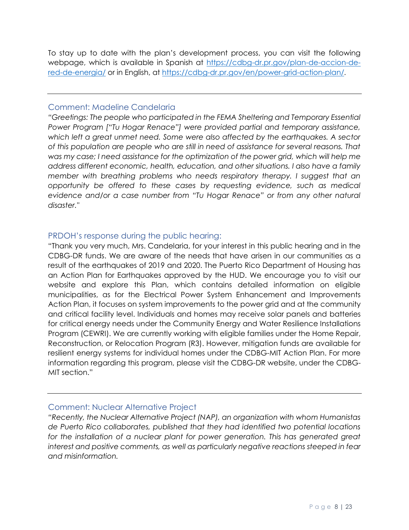To stay up to date with the plan's development process, you can visit the following webpage, which is available in Spanish at [https://cdbg-dr.pr.gov/plan-de-accion-de](https://cdbg-dr.pr.gov/plan-de-accion-de-red-de-energia/)[red-de-energia/](https://cdbg-dr.pr.gov/plan-de-accion-de-red-de-energia/) or in English, at <https://cdbg-dr.pr.gov/en/power-grid-action-plan/>.

## <span id="page-7-0"></span>Comment: Madeline Candelaria

*"Greetings: The people who participated in the FEMA Sheltering and Temporary Essential Power Program ["Tu Hogar Renace"] were provided partial and temporary assistance, which left a great unmet need. Some were also affected by the earthquakes. A sector of this population are people who are still in need of assistance for several reasons. That was my case; I need assistance for the optimization of the power grid, which will help me address different economic, health, education, and other situations. I also have a family member with breathing problems who needs respiratory therapy. I suggest that an opportunity be offered to these cases by requesting evidence, such as medical evidence and/or a case number from "Tu Hogar Renace" or from any other natural disaster."*

## <span id="page-7-1"></span>PRDOH's response during the public hearing:

"Thank you very much, Mrs. Candelaria, for your interest in this public hearing and in the CDBG-DR funds. We are aware of the needs that have arisen in our communities as a result of the earthquakes of 2019 and 2020. The Puerto Rico Department of Housing has an Action Plan for Earthquakes approved by the HUD. We encourage you to visit our website and explore this Plan, which contains detailed information on eligible municipalities, as for the Electrical Power System Enhancement and Improvements Action Plan, it focuses on system improvements to the power grid and at the community and critical facility level. Individuals and homes may receive solar panels and batteries for critical energy needs under the Community Energy and Water Resilience Installations Program (CEWRI). We are currently working with eligible families under the Home Repair, Reconstruction, or Relocation Program (R3). However, mitigation funds are available for resilient energy systems for individual homes under the CDBG-MIT Action Plan. For more information regarding this program, please visit the CDBG-DR website, under the CDBG-MIT section."

## <span id="page-7-2"></span>Comment: Nuclear Alternative Project

*"Recently, the Nuclear Alternative Project (NAP), an organization with whom Humanistas de Puerto Rico collaborates, published that they had identified two potential locations*  for the installation of a nuclear plant for power generation. This has generated great *interest and positive comments, as well as particularly negative reactions steeped in fear and misinformation.*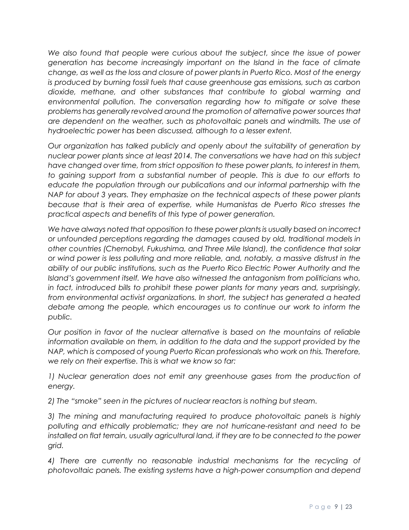*We also found that people were curious about the subject, since the issue of power generation has become increasingly important on the Island in the face of climate change, as well as the loss and closure of power plants in Puerto Rico. Most of the energy is produced by burning fossil fuels that cause greenhouse gas emissions, such as carbon dioxide, methane, and other substances that contribute to global warming and environmental pollution. The conversation regarding how to mitigate or solve these problems has generally revolved around the promotion of alternative power sources that are dependent on the weather, such as photovoltaic panels and windmills. The use of hydroelectric power has been discussed, although to a lesser extent.* 

*Our organization has talked publicly and openly about the suitability of generation by nuclear power plants since at least 2014. The conversations we have had on this subject have changed over time, from strict opposition to these power plants, to interest in them, to gaining support from a substantial number of people. This is due to our efforts to educate the population through our publications and our informal partnership with the NAP for about 3 years. They emphasize on the technical aspects of these power plants because that is their area of expertise, while Humanistas de Puerto Rico stresses the practical aspects and benefits of this type of power generation.* 

*We have always noted that opposition to these power plants is usually based on incorrect or unfounded perceptions regarding the damages caused by old, traditional models in other countries (Chernobyl, Fukushima, and Three Mile Island), the confidence that solar or wind power is less polluting and more reliable, and, notably, a massive distrust in the ability of our public institutions, such as the Puerto Rico Electric Power Authority and the Island's government itself. We have also witnessed the antagonism from politicians who, in fact, introduced bills to prohibit these power plants for many years and, surprisingly, from environmental activist organizations. In short, the subject has generated a heated debate among the people, which encourages us to continue our work to inform the public.* 

*Our position in favor of the nuclear alternative is based on the mountains of reliable information available on them, in addition to the data and the support provided by the NAP, which is composed of young Puerto Rican professionals who work on this. Therefore, we rely on their expertise. This is what we know so far:*

*1)* Nuclear generation does not emit any greenhouse gases from the production of *energy.* 

*2) The "smoke" seen in the pictures of nuclear reactors is nothing but steam.* 

*3) The mining and manufacturing required to produce photovoltaic panels is highly polluting and ethically problematic; they are not hurricane-resistant and need to be installed on flat terrain, usually agricultural land, if they are to be connected to the power grid.* 

*4) There are currently no reasonable industrial mechanisms for the recycling of photovoltaic panels. The existing systems have a high-power consumption and depend*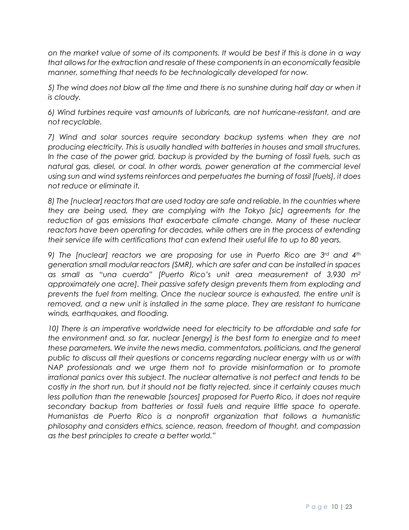*on the market value of some of its components. It would be best if this is done in a way that allows for the extraction and resale of these components in an economically feasible manner, something that needs to be technologically developed for now.* 

*5) The wind does not blow all the time and there is no sunshine during half day or when it is cloudy.* 

*6) Wind turbines require vast amounts of lubricants, are not hurricane-resistant, and are not recyclable.* 

*7) Wind and solar sources require secondary backup systems when they are not producing electricity. This is usually handled with batteries in houses and small structures.*  In the case of the power grid, backup is provided by the burning of fossil fuels, such as *natural gas, diesel, or coal. In other words, power generation at the commercial level using sun and wind systems reinforces and perpetuates the burning of fossil [fuels], it does not reduce or eliminate it.* 

*8) The [nuclear] reactors that are used today are safe and reliable. In the countries where they are being used, they are complying with the Tokyo [sic] agreements for the*  reduction of gas emissions that exacerbate climate change. Many of these nuclear *reactors have been operating for decades, while others are in the process of extending their service life with certifications that can extend their useful life to up to 80 years.* 

*9) The [nuclear] reactors we are proposing for use in Puerto Rico are 3rd and 4th generation small modular reactors (SMR), which are safer and can be installed in spaces as small as "una cuerda" [Puerto Rico's unit area measurement of 3,930 m<sup>2</sup> approximately one acre]. Their passive safety design prevents them from exploding and prevents the fuel from melting. Once the nuclear source is exhausted, the entire unit is removed, and a new unit is installed in the same place. They are resistant to hurricane winds, earthquakes, and flooding.* 

*10) There is an imperative worldwide need for electricity to be affordable and safe for the environment and, so far, nuclear [energy] is the best form to energize and to meet these parameters. We invite the news media, commentators, politicians, and the general public to discuss all their questions or concerns regarding nuclear energy with us or with NAP professionals and we urge them not to provide misinformation or to promote irrational panics over this subject. The nuclear alternative is not perfect and tends to be costly in the short run, but it should not be flatly rejected, since it certainly causes much less pollution than the renewable [sources] proposed for Puerto Rico, it does not require secondary backup from batteries or fossil fuels and require little space to operate. Humanistas de Puerto Rico is a nonprofit organization that follows a humanistic philosophy and considers ethics, science, reason, freedom of thought, and compassion as the best principles to create a better world."*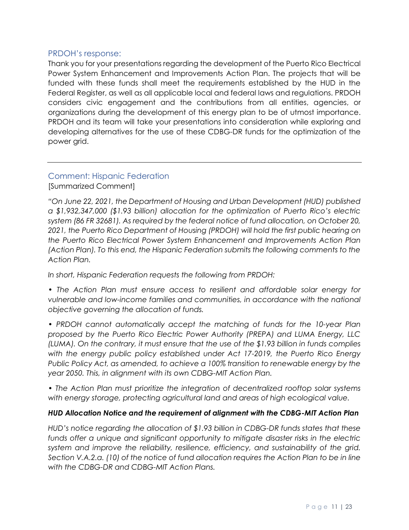## <span id="page-10-0"></span>PRDOH's response:

Thank you for your presentations regarding the development of the Puerto Rico Electrical Power System Enhancement and Improvements Action Plan. The projects that will be funded with these funds shall meet the requirements established by the HUD in the Federal Register, as well as all applicable local and federal laws and regulations. PRDOH considers civic engagement and the contributions from all entities, agencies, or organizations during the development of this energy plan to be of utmost importance. PRDOH and its team will take your presentations into consideration while exploring and developing alternatives for the use of these CDBG-DR funds for the optimization of the power grid.

## <span id="page-10-1"></span>Comment: Hispanic Federation [Summarized Comment]

*"On June 22, 2021, the Department of Housing and Urban Development (HUD) published a \$1,932,347,000 (\$1.93 billion) allocation for the optimization of Puerto Rico's electric system (86 FR 32681). As required by the federal notice of fund allocation, on October 20, 2021, the Puerto Rico Department of Housing (PRDOH) will hold the first public hearing on the Puerto Rico Electrical Power System Enhancement and Improvements Action Plan (Action Plan). To this end, the Hispanic Federation submits the following comments to the Action Plan.* 

*In short, Hispanic Federation requests the following from PRDOH:*

- *The Action Plan must ensure access to resilient and affordable solar energy for vulnerable and low-income families and communities, in accordance with the national objective governing the allocation of funds.*
- *PRDOH cannot automatically accept the matching of funds for the 10-year Plan proposed by the Puerto Rico Electric Power Authority (PREPA) and LUMA Energy, LLC (LUMA). On the contrary, it must ensure that the use of the \$1.93 billion in funds complies*  with the energy public policy established under Act 17-2019, the Puerto Rico Energy *Public Policy Act, as amended, to achieve a 100% transition to renewable energy by the year 2050. This, in alignment with its own CDBG-MIT Action Plan.*
- *The Action Plan must prioritize the integration of decentralized rooftop solar systems with energy storage, protecting agricultural land and areas of high ecological value.*

## *HUD Allocation Notice and the requirement of alignment with the CDBG-MIT Action Plan*

*HUD's notice regarding the allocation of \$1.93 billion in CDBG-DR funds states that these*  funds offer a unique and significant opportunity to mitigate disaster risks in the electric *system and improve the reliability, resilience, efficiency, and sustainability of the grid. Section V.A.2.a. (10) of the notice of fund allocation requires the Action Plan to be in line with the CDBG-DR and CDBG-MIT Action Plans.*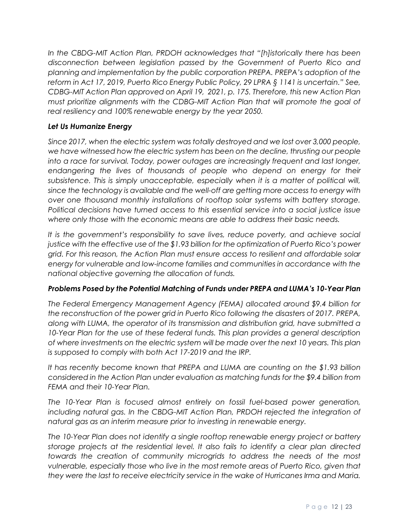*In the CBDG-MIT Action Plan, PRDOH acknowledges that "[h]istorically there has been disconnection between legislation passed by the Government of Puerto Rico and planning and implementation by the public corporation PREPA. PREPA's adoption of the reform in Act 17, 2019, Puerto Rico Energy Public Policy, 29 LPRA § 1141 is uncertain." See, CDBG-MIT Action Plan approved on April 19, 2021, p. 175. Therefore, this new Action Plan must prioritize alignments with the CDBG-MIT Action Plan that will promote the goal of real resiliency and 100% renewable energy by the year 2050.*

## *Let Us Humanize Energy*

*Since 2017, when the electric system was totally destroyed and we lost over 3,000 people, we have witnessed how the electric system has been on the decline, thrusting our people into a race for survival. Today, power outages are increasingly frequent and last longer, endangering the lives of thousands of people who depend on energy for their subsistence. This is simply unacceptable, especially when it is a matter of political will, since the technology is available and the well-off are getting more access to energy with over one thousand monthly installations of rooftop solar systems with battery storage. Political decisions have turned access to this essential service into a social justice issue where only those with the economic means are able to address their basic needs.* 

*It is the government's responsibility to save lives, reduce poverty, and achieve social justice with the effective use of the \$1.93 billion for the optimization of Puerto Rico's power grid. For this reason, the Action Plan must ensure access to resilient and affordable solar energy for vulnerable and low-income families and communities in accordance with the national objective governing the allocation of funds.* 

## *Problems Posed by the Potential Matching of Funds under PREPA and LUMA's 10-Year Plan*

*The Federal Emergency Management Agency (FEMA) allocated around \$9.4 billion for the reconstruction of the power grid in Puerto Rico following the disasters of 2017. PREPA, along with LUMA, the operator of its transmission and distribution grid, have submitted a*  10-Year Plan for the use of these federal funds. This plan provides a general description *of where investments on the electric system will be made over the next 10 years. This plan is supposed to comply with both Act 17-2019 and the IRP.* 

*It has recently become known that PREPA and LUMA are counting on the \$1.93 billion considered in the Action Plan under evaluation as matching funds for the \$9.4 billion from FEMA and their 10-Year Plan.* 

*The 10-Year Plan is focused almost entirely on fossil fuel-based power generation, including natural gas. In the CBDG-MIT Action Plan, PRDOH rejected the integration of natural gas as an interim measure prior to investing in renewable energy.*

*The 10-Year Plan does not identify a single rooftop renewable energy project or battery storage projects at the residential level. It also fails to identify a clear plan directed towards the creation of community microgrids to address the needs of the most vulnerable, especially those who live in the most remote areas of Puerto Rico, given that they were the last to receive electricity service in the wake of Hurricanes Irma and Maria.*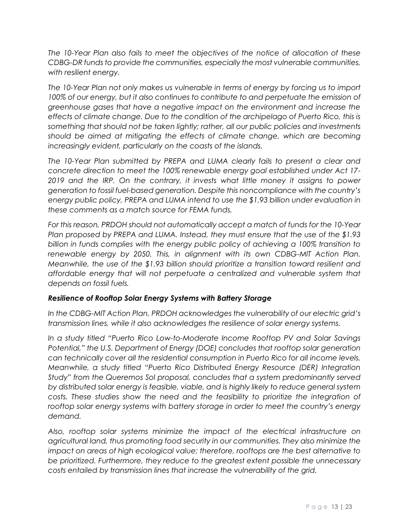*The 10-Year Plan also fails to meet the objectives of the notice of allocation of these CDBG-DR funds to provide the communities, especially the most vulnerable communities, with resilient energy.*

*The 10-Year Plan not only makes us vulnerable in terms of energy by forcing us to import 100% of our energy, but it also continues to contribute to and perpetuate the emission of greenhouse gases that have a negative impact on the environment and increase the effects of climate change. Due to the condition of the archipelago of Puerto Rico, this is something that should not be taken lightly; rather, all our public policies and investments should be aimed at mitigating the effects of climate change, which are becoming increasingly evident, particularly on the coasts of the islands.* 

*The 10-Year Plan submitted by PREPA and LUMA clearly fails to present a clear and concrete direction to meet the 100% renewable energy goal established under Act 17- 2019 and the IRP. On the contrary, it invests what little money it assigns to power generation to fossil fuel-based generation. Despite this noncompliance with the country's energy public policy, PREPA and LUMA intend to use the \$1.93 billion under evaluation in these comments as a match source for FEMA funds.* 

*For this reason, PRDOH should not automatically accept a match of funds for the 10-Year Plan proposed by PREPA and LUMA. Instead, they must ensure that the use of the \$1.93 billion in funds complies with the energy public policy of achieving a 100% transition to*  renewable energy by 2050. This, in alignment with its own CDBG-MIT Action Plan. *Meanwhile, the use of the \$1.93 billion should prioritize a transition toward resilient and affordable energy that will not perpetuate a centralized and vulnerable system that depends on fossil fuels.*

## *Resilience of Rooftop Solar Energy Systems with Battery Storage*

In the CDBG-MIT Action Plan, PRDOH acknowledges the vulnerability of our electric grid's *transmission lines, while it also acknowledges the resilience of solar energy systems.* 

*In a study titled "Puerto Rico Low-to-Moderate Income Rooftop PV and Solar Savings Potential," the U.S. Department of Energy (DOE) concludes that rooftop solar generation can technically cover all the residential consumption in Puerto Rico for all income levels. Meanwhile, a study titled "Puerto Rico Distributed Energy Resource (DER) Integration Study" from the Queremos Sol proposal, concludes that a system predominantly served by distributed solar energy is feasible, viable, and is highly likely to reduce general system costs. These studies show the need and the feasibility to prioritize the integration of rooftop solar energy systems with battery storage in order to meet the country's energy demand.* 

*Also, rooftop solar systems minimize the impact of the electrical infrastructure on agricultural land, thus promoting food security in our communities. They also minimize the impact on areas of high ecological value; therefore, rooftops are the best alternative to be prioritized. Furthermore, they reduce to the greatest extent possible the unnecessary costs entailed by transmission lines that increase the vulnerability of the grid.*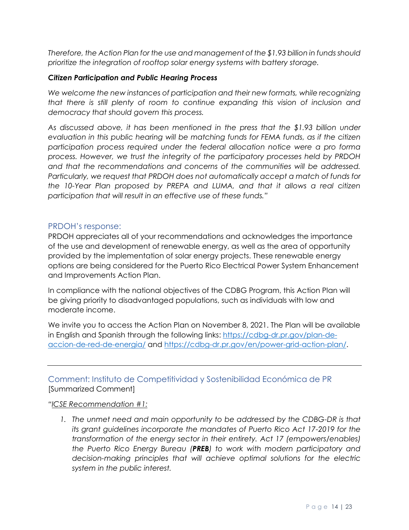*Therefore, the Action Plan for the use and management of the \$1.93 billion in funds should prioritize the integration of rooftop solar energy systems with battery storage.*

#### *Citizen Participation and Public Hearing Process*

*We welcome the new instances of participation and their new formats, while recognizing that there is still plenty of room to continue expanding this vision of inclusion and democracy that should govern this process.* 

*As discussed above, it has been mentioned in the press that the \$1.93 billion under evaluation in this public hearing will be matching funds for FEMA funds, as if the citizen participation process required under the federal allocation notice were a pro forma process. However, we trust the integrity of the participatory processes held by PRDOH and that the recommendations and concerns of the communities will be addressed. Particularly, we request that PRDOH does not automatically accept a match of funds for the 10-Year Plan proposed by PREPA and LUMA, and that it allows a real citizen participation that will result in an effective use of these funds."*

## <span id="page-13-0"></span>PRDOH's response:

PRDOH appreciates all of your recommendations and acknowledges the importance of the use and development of renewable energy, as well as the area of opportunity provided by the implementation of solar energy projects. These renewable energy options are being considered for the Puerto Rico Electrical Power System Enhancement and Improvements Action Plan.

In compliance with the national objectives of the CDBG Program, this Action Plan will be giving priority to disadvantaged populations, such as individuals with low and moderate income.

We invite you to access the Action Plan on November 8, 2021. The Plan will be available in English and Spanish through the following links: [https://cdbg-dr.pr.gov/plan-de](https://cdbg-dr.pr.gov/plan-de-accion-de-red-de-energia/)[accion-de-red-de-energia/](https://cdbg-dr.pr.gov/plan-de-accion-de-red-de-energia/) and [https://cdbg-dr.pr.gov/en/power-grid-action-plan/.](https://cdbg-dr.pr.gov/en/power-grid-action-plan/)

<span id="page-13-1"></span>Comment: Instituto de Competitividad y Sostenibilidad Económica de PR [Summarized Comment]

#### *"ICSE Recommendation #1:*

1. The unmet need and main opportunity to be addressed by the CDBG-DR is that *its grant guidelines incorporate the mandates of Puerto Rico Act 17-2019 for the transformation of the energy sector in their entirety. Act 17 (empowers/enables) the Puerto Rico Energy Bureau (PREB) to work with modern participatory and decision-making principles that will achieve optimal solutions for the electric system in the public interest.*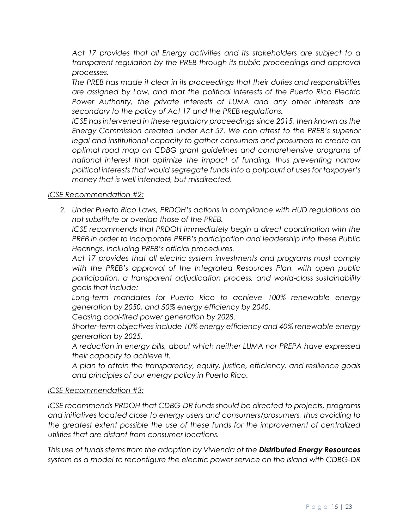*Act 17 provides that all Energy activities and its stakeholders are subject to a transparent regulation by the PREB through its public proceedings and approval processes.* 

*The PREB has made it clear in its proceedings that their duties and responsibilities are assigned by Law, and that the political interests of the Puerto Rico Electric Power Authority, the private interests of LUMA and any other interests are secondary to the policy of Act 17 and the PREB regulations.*

*ICSE has intervened in these regulatory proceedings since 2015, then known as the Energy Commission created under Act 57. We can attest to the PREB's superior legal and institutional capacity to gather consumers and prosumers to create an optimal road map on CDBG grant guidelines and comprehensive programs of national interest that optimize the impact of funding, thus preventing narrow political interests that would segregate funds into a potpourri of uses for taxpayer's money that is well intended, but misdirected.* 

## *ICSE Recommendation #2:*

*2. Under Puerto Rico Laws, PRDOH's actions in compliance with HUD regulations do not substitute or overlap those of the PREB.* 

*ICSE recommends that PRDOH immediately begin a direct coordination with the PREB in order to incorporate PREB's participation and leadership into these Public Hearings, including PREB's official procedures.* 

*Act 17 provides that all electric system investments and programs must comply with the PREB's approval of the Integrated Resources Plan, with open public participation, a transparent adjudication process, and world-class sustainability goals that include:* 

*Long-term mandates for Puerto Rico to achieve 100% renewable energy generation by 2050, and 50% energy efficiency by 2040.* 

*Ceasing coal-fired power generation by 2028.* 

*Shorter-term objectives include 10% energy efficiency and 40% renewable energy generation by 2025.* 

*A reduction in energy bills, about which neither LUMA nor PREPA have expressed their capacity to achieve it.* 

*A plan to attain the transparency, equity, justice, efficiency, and resilience goals and principles of our energy policy in Puerto Rico.* 

#### *ICSE Recommendation #3:*

*ICSE recommends PRDOH that CDBG-DR funds should be directed to projects, programs and initiatives located close to energy users and consumers/prosumers, thus avoiding to the greatest extent possible the use of these funds for the improvement of centralized utilities that are distant from consumer locations.*

*This use of funds stems from the adoption by Vivienda of the Distributed Energy Resources system as a model to reconfigure the electric power service on the Island with CDBG-DR*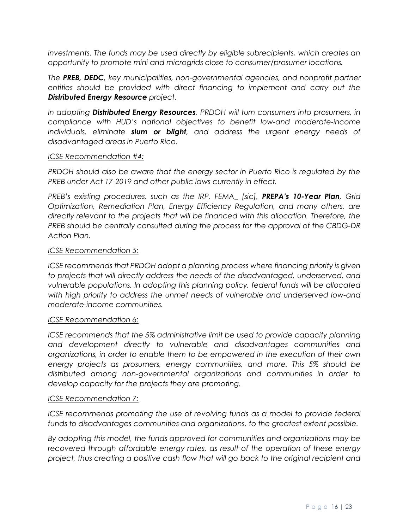*investments. The funds may be used directly by eligible subrecipients, which creates an opportunity to promote mini and microgrids close to consumer/prosumer locations.* 

*The PREB, DEDC, key municipalities, non-governmental agencies, and nonprofit partner entities should be provided with direct financing to implement and carry out the Distributed Energy Resource project.* 

*In adopting Distributed Energy Resources, PRDOH will turn consumers into prosumers, in compliance with HUD's national objectives to benefit low-and moderate-income individuals, eliminate slum or blight, and address the urgent energy needs of disadvantaged areas in Puerto Rico.* 

#### *ICSE Recommendation #4:*

*PRDOH should also be aware that the energy sector in Puerto Rico is regulated by the PREB under Act 17-2019 and other public laws currently in effect.*

*PREB's existing procedures, such as the IRP, FEMA\_ [sic], PREPA's 10-Year Plan, Grid Optimization, Remediation Plan, Energy Efficiency Regulation, and many others, are directly relevant to the projects that will be financed with this allocation. Therefore, the PREB should be centrally consulted during the process for the approval of the CBDG-DR Action Plan.* 

#### *ICSE Recommendation 5:*

*ICSE recommends that PRDOH adopt a planning process where financing priority is given to projects that will directly address the needs of the disadvantaged, underserved, and vulnerable populations. In adopting this planning policy, federal funds will be allocated with high priority to address the unmet needs of vulnerable and underserved low-and moderate-income communities.* 

#### *ICSE Recommendation 6:*

*ICSE recommends that the 5% administrative limit be used to provide capacity planning and development directly to vulnerable and disadvantages communities and organizations, in order to enable them to be empowered in the execution of their own energy projects as prosumers, energy communities, and more. This 5% should be distributed among non-governmental organizations and communities in order to develop capacity for the projects they are promoting.* 

#### *ICSE Recommendation 7:*

*ICSE recommends promoting the use of revolving funds as a model to provide federal funds to disadvantages communities and organizations, to the greatest extent possible.* 

*By adopting this model, the funds approved for communities and organizations may be recovered through affordable energy rates, as result of the operation of these energy project, thus creating a positive cash flow that will go back to the original recipient and*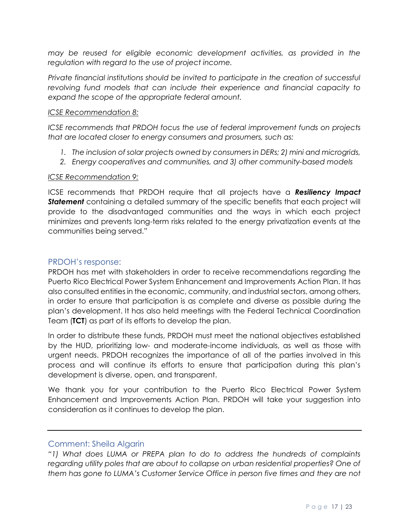*may be reused for eligible economic development activities, as provided in the regulation with regard to the use of project income.* 

*Private financial institutions should be invited to participate in the creation of successful revolving fund models that can include their experience and financial capacity to expand the scope of the appropriate federal amount.* 

#### *ICSE Recommendation 8:*

*ICSE recommends that PRDOH focus the use of federal improvement funds on projects that are located closer to energy consumers and prosumers, such as:* 

- *1. The inclusion of solar projects owned by consumers in DERs; 2) mini and microgrids,*
- *2. Energy cooperatives and communities, and 3) other community-based models*

#### *ICSE Recommendation 9:*

ICSE recommends that PRDOH require that all projects have a *Resiliency Impact Statement* containing a detailed summary of the specific benefits that each project will provide to the disadvantaged communities and the ways in which each project minimizes and prevents long-term risks related to the energy privatization events at the communities being served."

## <span id="page-16-0"></span>PRDOH's response:

PRDOH has met with stakeholders in order to receive recommendations regarding the Puerto Rico Electrical Power System Enhancement and Improvements Action Plan. It has also consulted entities in the economic, community, and industrial sectors, among others, in order to ensure that participation is as complete and diverse as possible during the plan's development. It has also held meetings with the Federal Technical Coordination Team (**TCT**) as part of its efforts to develop the plan.

In order to distribute these funds, PRDOH must meet the national objectives established by the HUD, prioritizing low- and moderate-income individuals, as well as those with urgent needs. PRDOH recognizes the importance of all of the parties involved in this process and will continue its efforts to ensure that participation during this plan's development is diverse, open, and transparent.

We thank you for your contribution to the Puerto Rico Electrical Power System Enhancement and Improvements Action Plan. PRDOH will take your suggestion into consideration as it continues to develop the plan.

#### <span id="page-16-1"></span>Comment: Sheila Algarin

*"1) What does LUMA or PREPA plan to do to address the hundreds of complaints*  regarding utility poles that are about to collapse on urban residential properties? One of *them has gone to LUMA's Customer Service Office in person five times and they are not*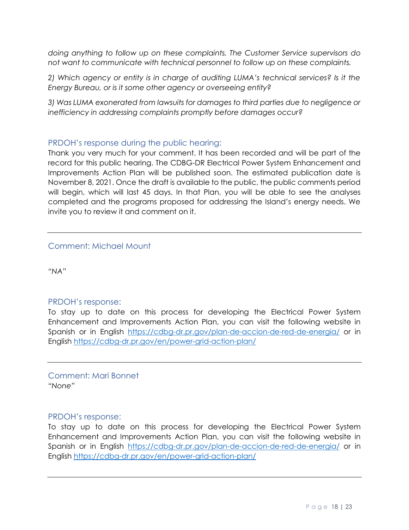*doing anything to follow up on these complaints. The Customer Service supervisors do not want to communicate with technical personnel to follow up on these complaints.*

*2) Which agency or entity is in charge of auditing LUMA's technical services? Is it the Energy Bureau, or is it some other agency or overseeing entity?*

*3) Was LUMA exonerated from lawsuits for damages to third parties due to negligence or inefficiency in addressing complaints promptly before damages occur?*

## <span id="page-17-0"></span>PRDOH's response during the public hearing:

Thank you very much for your comment. It has been recorded and will be part of the record for this public hearing. The CDBG-DR Electrical Power System Enhancement and Improvements Action Plan will be published soon. The estimated publication date is November 8, 2021. Once the draft is available to the public, the public comments period will begin, which will last 45 days. In that Plan, you will be able to see the analyses completed and the programs proposed for addressing the Island's energy needs. We invite you to review it and comment on it.

## <span id="page-17-1"></span>Comment: Michael Mount

*"NA"*

#### <span id="page-17-2"></span>PRDOH's response:

To stay up to date on this process for developing the Electrical Power System Enhancement and Improvements Action Plan, you can visit the following website in Spanish or in English <https://cdbg-dr.pr.gov/plan-de-accion-de-red-de-energia/> or in English<https://cdbg-dr.pr.gov/en/power-grid-action-plan/>

<span id="page-17-3"></span>Comment: Mari Bonnet *"None"*

#### <span id="page-17-4"></span>PRDOH's response:

To stay up to date on this process for developing the Electrical Power System Enhancement and Improvements Action Plan, you can visit the following website in Spanish or in English <https://cdbg-dr.pr.gov/plan-de-accion-de-red-de-energia/> or in English<https://cdbg-dr.pr.gov/en/power-grid-action-plan/>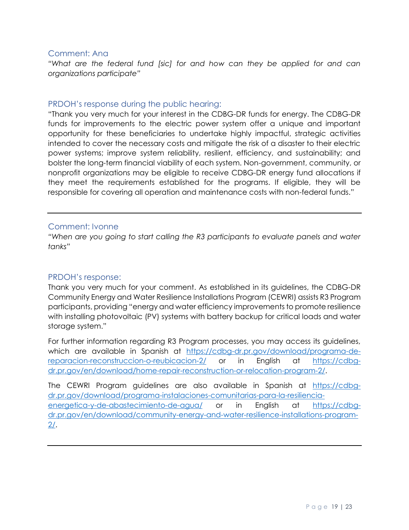## <span id="page-18-0"></span>Comment: Ana

"What are the federal fund [sic] for and how can they be applied for and can *organizations participate"*

## <span id="page-18-1"></span>PRDOH's response during the public hearing:

"Thank you very much for your interest in the CDBG-DR funds for energy. The CDBG-DR funds for improvements to the electric power system offer a unique and important opportunity for these beneficiaries to undertake highly impactful, strategic activities intended to cover the necessary costs and mitigate the risk of a disaster to their electric power systems; improve system reliability, resilient, efficiency, and sustainability; and bolster the long-term financial viability of each system. Non-government, community, or nonprofit organizations may be eligible to receive CDBG-DR energy fund allocations if they meet the requirements established for the programs. If eligible, they will be responsible for covering all operation and maintenance costs with non-federal funds."

## <span id="page-18-2"></span>Comment: Ivonne

*"When are you going to start calling the R3 participants to evaluate panels and water tanks"*

## <span id="page-18-3"></span>PRDOH's response:

Thank you very much for your comment. As established in its guidelines, the CDBG-DR Community Energy and Water Resilience Installations Program (CEWRI) assists R3 Program participants, providing "energy and water efficiency improvements to promote resilience with installing photovoltaic (PV) systems with battery backup for critical loads and water storage system."

For further information regarding R3 Program processes, you may access its guidelines, which are available in Spanish at [https://cdbg-dr.pr.gov/download/programa-de](https://cdbg-dr.pr.gov/download/programa-de-reparacion-reconstruccion-o-reubicacion-2/)[reparacion-reconstruccion-o-reubicacion-2/](https://cdbg-dr.pr.gov/download/programa-de-reparacion-reconstruccion-o-reubicacion-2/) or in English at [https://cdbg](https://cdbg-dr.pr.gov/en/download/home-repair-reconstruction-or-relocation-program-2/)[dr.pr.gov/en/download/home-repair-reconstruction-or-relocation-program-2/.](https://cdbg-dr.pr.gov/en/download/home-repair-reconstruction-or-relocation-program-2/)

The CEWRI Program guidelines are also available in Spanish at [https://cdbg](https://cdbg-dr.pr.gov/download/programa-instalaciones-comunitarias-para-la-resiliencia-energetica-y-de-abastecimiento-de-agua/)[dr.pr.gov/download/programa-instalaciones-comunitarias-para-la-resiliencia](https://cdbg-dr.pr.gov/download/programa-instalaciones-comunitarias-para-la-resiliencia-energetica-y-de-abastecimiento-de-agua/)[energetica-y-de-abastecimiento-de-agua/](https://cdbg-dr.pr.gov/download/programa-instalaciones-comunitarias-para-la-resiliencia-energetica-y-de-abastecimiento-de-agua/) or in English at [https://cdbg](https://cdbg-dr.pr.gov/en/download/community-energy-and-water-resilience-installations-program-2/)[dr.pr.gov/en/download/community-energy-and-water-resilience-installations-program-](https://cdbg-dr.pr.gov/en/download/community-energy-and-water-resilience-installations-program-2/)[2/.](https://cdbg-dr.pr.gov/en/download/community-energy-and-water-resilience-installations-program-2/)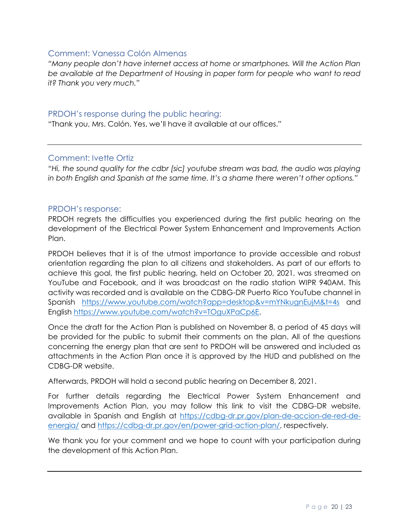## <span id="page-19-0"></span>Comment: Vanessa Colón Almenas

*"Many people don't have internet access at home or smartphones. Will the Action Plan be available at the Department of Housing in paper form for people who want to read it? Thank you very much."*

## <span id="page-19-1"></span>PRDOH's response during the public hearing:

"Thank you, Mrs. Colón. Yes, we'll have it available at our offices."

## <span id="page-19-2"></span>Comment: Ivette Ortiz

*"Hi, the sound quality for the cdbr [sic] youtube stream was bad, the audio was playing in both English and Spanish at the same time. It's a shame there weren't other options."*

#### <span id="page-19-3"></span>PRDOH's response:

PRDOH regrets the difficulties you experienced during the first public hearing on the development of the Electrical Power System Enhancement and Improvements Action Plan.

PRDOH believes that it is of the utmost importance to provide accessible and robust orientation regarding the plan to all citizens and stakeholders. As part of our efforts to achieve this goal, the first public hearing, held on October 20, 2021, was streamed on YouTube and Facebook, and it was broadcast on the radio station WIPR 940AM. This activity was recorded and is available on the CDBG-DR Puerto Rico YouTube channel in Spanish [https://www.youtube.com/watch?app=desktop&v=mYNkugnEujM&t=4s](https://www.youtube.com/watch?app=desktop&v=mYNkugnEujM&t=4s%20%20) and English [https://www.youtube.com/watch?v=TOguXPaCp6E.](https://www.youtube.com/watch?v=TOguXPaCp6E%20)

Once the draft for the Action Plan is published on November 8, a period of 45 days will be provided for the public to submit their comments on the plan. All of the questions concerning the energy plan that are sent to PRDOH will be answered and included as attachments in the Action Plan once it is approved by the HUD and published on the CDBG-DR website.

Afterwards, PRDOH will hold a second public hearing on December 8, 2021.

For further details regarding the Electrical Power System Enhancement and Improvements Action Plan, you may follow this link to visit the CDBG-DR website, available in Spanish and English at [https://cdbg-dr.pr.gov/plan-de-accion-de-red-de](https://cdbg-dr.pr.gov/plan-de-accion-de-red-de-energia/)[energia/](https://cdbg-dr.pr.gov/plan-de-accion-de-red-de-energia/) and [https://cdbg-dr.pr.gov/en/power-grid-action-plan/,](https://cdbg-dr.pr.gov/en/power-grid-action-plan/) respectively.

We thank you for your comment and we hope to count with your participation during the development of this Action Plan.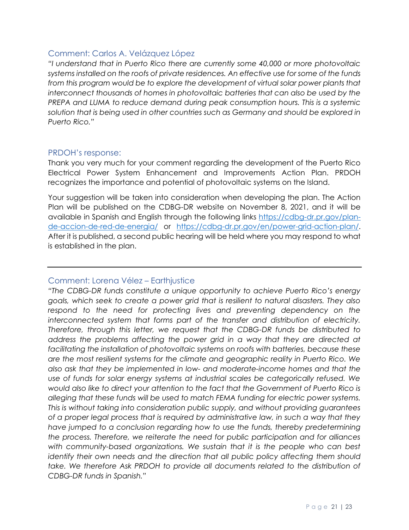## <span id="page-20-0"></span>Comment: Carlos A. Velázquez López

*"I understand that in Puerto Rico there are currently some 40,000 or more photovoltaic systems installed on the roofs of private residences. An effective use for some of the funds from this program would be to explore the development of virtual solar power plants that interconnect thousands of homes in photovoltaic batteries that can also be used by the PREPA and LUMA to reduce demand during peak consumption hours. This is a systemic solution that is being used in other countries such as Germany and should be explored in Puerto Rico."*

## <span id="page-20-1"></span>PRDOH's response:

Thank you very much for your comment regarding the development of the Puerto Rico Electrical Power System Enhancement and Improvements Action Plan. PRDOH recognizes the importance and potential of photovoltaic systems on the Island.

Your suggestion will be taken into consideration when developing the plan. The Action Plan will be published on the CDBG-DR website on November 8, 2021, and it will be available in Spanish and English through the following links [https://cdbg-dr.pr.gov/plan](https://cdbg-dr.pr.gov/plan-de-accion-de-red-de-energia/)[de-accion-de-red-de-energia/](https://cdbg-dr.pr.gov/plan-de-accion-de-red-de-energia/) or [https://cdbg-dr.pr.gov/en/power-grid-action-plan/.](https://cdbg-dr.pr.gov/en/power-grid-action-plan/) After it is published, a second public hearing will be held where you may respond to what is established in the plan.

## <span id="page-20-2"></span>Comment: Lorena Vélez – Earthjustice

*"The CDBG-DR funds constitute a unique opportunity to achieve Puerto Rico's energy goals, which seek to create a power grid that is resilient to natural disasters. They also*  respond to the need for protecting lives and preventing dependency on the *interconnected system that forms part of the transfer and distribution of electricity. Therefore, through this letter, we request that the CDBG-DR funds be distributed to address the problems affecting the power grid in a way that they are directed at*  facilitating the installation of photovoltaic systems on roofs with batteries, because these *are the most resilient systems for the climate and geographic reality in Puerto Rico. We also ask that they be implemented in low- and moderate-income homes and that the use of funds for solar energy systems at industrial scales be categorically refused. We would also like to direct your attention to the fact that the Government of Puerto Rico is alleging that these funds will be used to match FEMA funding for electric power systems. This is without taking into consideration public supply, and without providing guarantees of a proper legal process that is required by administrative law, in such a way that they have jumped to a conclusion regarding how to use the funds, thereby predetermining the process. Therefore, we reiterate the need for public participation and for alliances with community-based organizations. We sustain that it is the people who can best identify their own needs and the direction that all public policy affecting them should take. We therefore Ask PRDOH to provide all documents related to the distribution of CDBG-DR funds in Spanish."*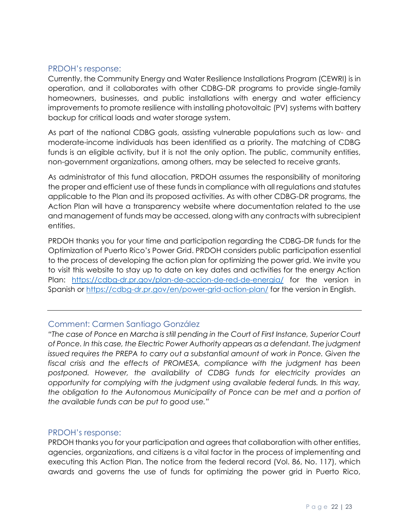## <span id="page-21-0"></span>PRDOH's response:

Currently, the Community Energy and Water Resilience Installations Program (CEWRI) is in operation, and it collaborates with other CDBG-DR programs to provide single-family homeowners, businesses, and public installations with energy and water efficiency improvements to promote resilience with installing photovoltaic (PV) systems with battery backup for critical loads and water storage system.

As part of the national CDBG goals, assisting vulnerable populations such as low- and moderate-income individuals has been identified as a priority. The matching of CDBG funds is an eligible activity, but it is not the only option. The public, community entities, non-government organizations, among others, may be selected to receive grants.

As administrator of this fund allocation, PRDOH assumes the responsibility of monitoring the proper and efficient use of these funds in compliance with all regulations and statutes applicable to the Plan and its proposed activities. As with other CDBG-DR programs, the Action Plan will have a transparency website where documentation related to the use and management of funds may be accessed, along with any contracts with subrecipient entities.

PRDOH thanks you for your time and participation regarding the CDBG-DR funds for the Optimization of Puerto Rico's Power Grid. PRDOH considers public participation essential to the process of developing the action plan for optimizing the power grid. We invite you to visit this website to stay up to date on key dates and activities for the energy Action Plan: <https://cdbg-dr.pr.gov/plan-de-accion-de-red-de-energia/> for the version in Spanish or<https://cdbg-dr.pr.gov/en/power-grid-action-plan/> for the version in English.

## <span id="page-21-1"></span>Comment: Carmen Santiago González

*"The case of Ponce en Marcha is still pending in the Court of First Instance, Superior Court of Ponce. In this case, the Electric Power Authority appears as a defendant. The judgment issued requires the PREPA to carry out a substantial amount of work in Ponce. Given the fiscal crisis and the effects of PROMESA, compliance with the judgment has been postponed. However, the availability of CDBG funds for electricity provides an opportunity for complying with the judgment using available federal funds. In this way, the obligation to the Autonomous Municipality of Ponce can be met and a portion of the available funds can be put to good use."*

## <span id="page-21-2"></span>PRDOH's response:

PRDOH thanks you for your participation and agrees that collaboration with other entities, agencies, organizations, and citizens is a vital factor in the process of implementing and executing this Action Plan. The notice from the federal record (Vol. 86, No. 117), which awards and governs the use of funds for optimizing the power grid in Puerto Rico,